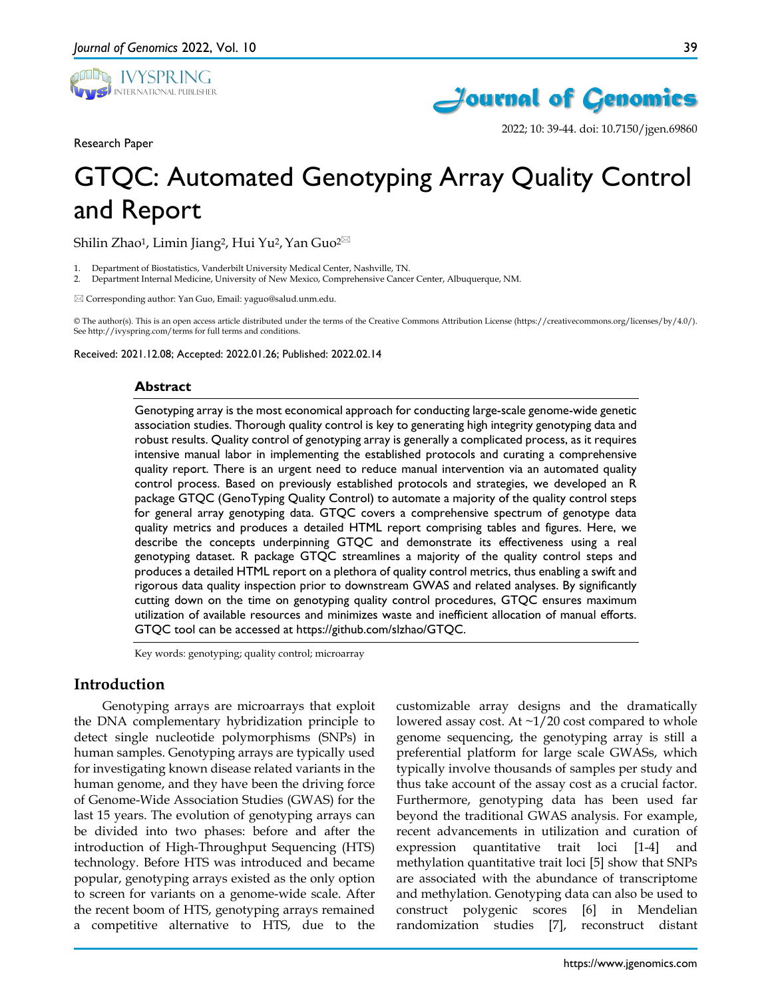





2022; 10: 39-44. doi: 10.7150/jgen.69860

# GTQC: Automated Genotyping Array Quality Control and Report

Shilin Zhao<sup>1</sup>, Limin Jiang<sup>2</sup>, Hui Yu<sup>2</sup>, Yan Guo<sup>2 $\boxtimes$ </sup>

- 1. Department of Biostatistics, Vanderbilt University Medical Center, Nashville, TN.
- 2. Department Internal Medicine, University of New Mexico, Comprehensive Cancer Center, Albuquerque, NM.

Corresponding author: Yan Guo, Email: yaguo@salud.unm.edu.

© The author(s). This is an open access article distributed under the terms of the Creative Commons Attribution License (https://creativecommons.org/licenses/by/4.0/). See http://ivyspring.com/terms for full terms and conditions.

Received: 2021.12.08; Accepted: 2022.01.26; Published: 2022.02.14

#### **Abstract**

Genotyping array is the most economical approach for conducting large-scale genome-wide genetic association studies. Thorough quality control is key to generating high integrity genotyping data and robust results. Quality control of genotyping array is generally a complicated process, as it requires intensive manual labor in implementing the established protocols and curating a comprehensive quality report. There is an urgent need to reduce manual intervention via an automated quality control process. Based on previously established protocols and strategies, we developed an R package GTQC (GenoTyping Quality Control) to automate a majority of the quality control steps for general array genotyping data. GTQC covers a comprehensive spectrum of genotype data quality metrics and produces a detailed HTML report comprising tables and figures. Here, we describe the concepts underpinning GTQC and demonstrate its effectiveness using a real genotyping dataset. R package GTQC streamlines a majority of the quality control steps and produces a detailed HTML report on a plethora of quality control metrics, thus enabling a swift and rigorous data quality inspection prior to downstream GWAS and related analyses. By significantly cutting down on the time on genotyping quality control procedures, GTQC ensures maximum utilization of available resources and minimizes waste and inefficient allocation of manual efforts. GTQC tool can be accessed at https://github.com/slzhao/GTQC.

Key words: genotyping; quality control; microarray

## **Introduction**

Genotyping arrays are microarrays that exploit the DNA complementary hybridization principle to detect single nucleotide polymorphisms (SNPs) in human samples. Genotyping arrays are typically used for investigating known disease related variants in the human genome, and they have been the driving force of Genome-Wide Association Studies (GWAS) for the last 15 years. The evolution of genotyping arrays can be divided into two phases: before and after the introduction of High-Throughput Sequencing (HTS) technology. Before HTS was introduced and became popular, genotyping arrays existed as the only option to screen for variants on a genome-wide scale. After the recent boom of HTS, genotyping arrays remained a competitive alternative to HTS, due to the

customizable array designs and the dramatically lowered assay cost. At  $\sim$ 1/20 cost compared to whole genome sequencing, the genotyping array is still a preferential platform for large scale GWASs, which typically involve thousands of samples per study and thus take account of the assay cost as a crucial factor. Furthermore, genotyping data has been used far beyond the traditional GWAS analysis. For example, recent advancements in utilization and curation of expression quantitative trait loci [1-4] and methylation quantitative trait loci [5] show that SNPs are associated with the abundance of transcriptome and methylation. Genotyping data can also be used to construct polygenic scores [6] in Mendelian randomization studies [7], reconstruct distant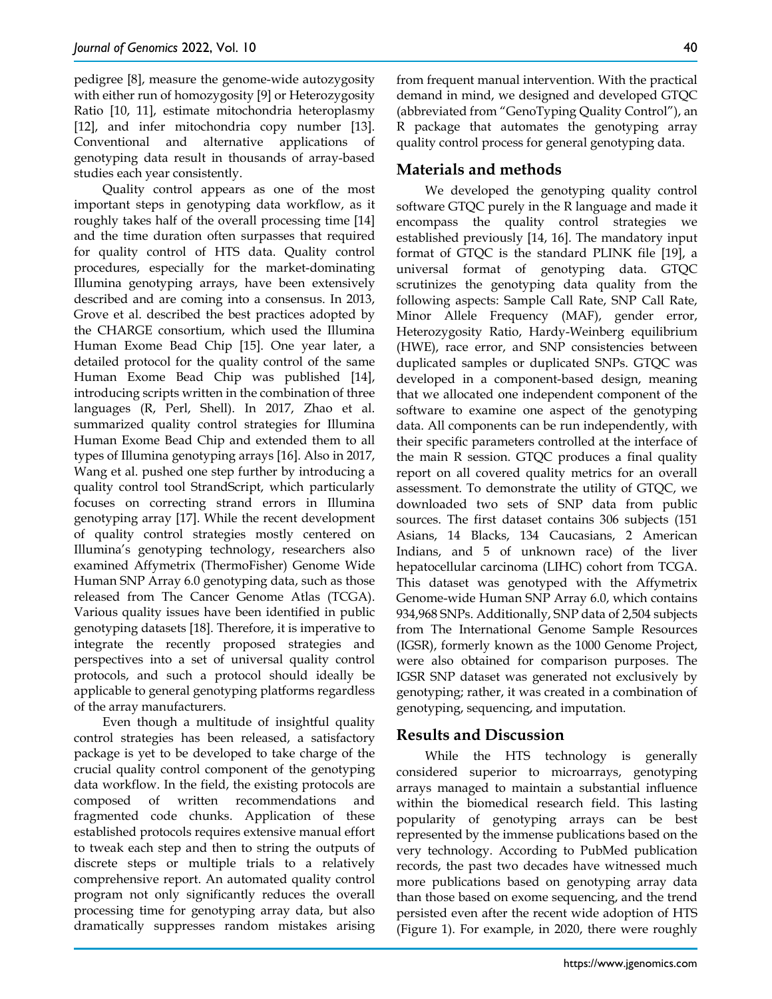pedigree [8], measure the genome-wide autozygosity with either run of homozygosity [9] or Heterozygosity Ratio [10, 11], estimate mitochondria heteroplasmy [12], and infer mitochondria copy number [13]. Conventional and alternative applications of genotyping data result in thousands of array-based studies each year consistently.

Quality control appears as one of the most important steps in genotyping data workflow, as it roughly takes half of the overall processing time [14] and the time duration often surpasses that required for quality control of HTS data. Quality control procedures, especially for the market-dominating Illumina genotyping arrays, have been extensively described and are coming into a consensus. In 2013, Grove et al. described the best practices adopted by the CHARGE consortium, which used the Illumina Human Exome Bead Chip [15]. One year later, a detailed protocol for the quality control of the same Human Exome Bead Chip was published [14], introducing scripts written in the combination of three languages (R, Perl, Shell). In 2017, Zhao et al. summarized quality control strategies for Illumina Human Exome Bead Chip and extended them to all types of Illumina genotyping arrays [16]. Also in 2017, Wang et al. pushed one step further by introducing a quality control tool StrandScript, which particularly focuses on correcting strand errors in Illumina genotyping array [17]. While the recent development of quality control strategies mostly centered on Illumina's genotyping technology, researchers also examined Affymetrix (ThermoFisher) Genome Wide Human SNP Array 6.0 genotyping data, such as those released from The Cancer Genome Atlas (TCGA). Various quality issues have been identified in public genotyping datasets [18]. Therefore, it is imperative to integrate the recently proposed strategies and perspectives into a set of universal quality control protocols, and such a protocol should ideally be applicable to general genotyping platforms regardless of the array manufacturers.

Even though a multitude of insightful quality control strategies has been released, a satisfactory package is yet to be developed to take charge of the crucial quality control component of the genotyping data workflow. In the field, the existing protocols are composed of written recommendations and fragmented code chunks. Application of these established protocols requires extensive manual effort to tweak each step and then to string the outputs of discrete steps or multiple trials to a relatively comprehensive report. An automated quality control program not only significantly reduces the overall processing time for genotyping array data, but also dramatically suppresses random mistakes arising

from frequent manual intervention. With the practical demand in mind, we designed and developed GTQC (abbreviated from "GenoTyping Quality Control"), an R package that automates the genotyping array quality control process for general genotyping data.

## **Materials and methods**

We developed the genotyping quality control software GTQC purely in the R language and made it encompass the quality control strategies we established previously [14, 16]. The mandatory input format of GTQC is the standard PLINK file [19], a universal format of genotyping data. GTQC scrutinizes the genotyping data quality from the following aspects: Sample Call Rate, SNP Call Rate, Minor Allele Frequency (MAF), gender error, Heterozygosity Ratio, Hardy-Weinberg equilibrium (HWE), race error, and SNP consistencies between duplicated samples or duplicated SNPs. GTQC was developed in a component-based design, meaning that we allocated one independent component of the software to examine one aspect of the genotyping data. All components can be run independently, with their specific parameters controlled at the interface of the main R session. GTQC produces a final quality report on all covered quality metrics for an overall assessment. To demonstrate the utility of GTQC, we downloaded two sets of SNP data from public sources. The first dataset contains 306 subjects (151 Asians, 14 Blacks, 134 Caucasians, 2 American Indians, and 5 of unknown race) of the liver hepatocellular carcinoma (LIHC) cohort from TCGA. This dataset was genotyped with the Affymetrix Genome-wide Human SNP Array 6.0, which contains 934,968 SNPs. Additionally, SNP data of 2,504 subjects from The International Genome Sample Resources (IGSR), formerly known as the 1000 Genome Project, were also obtained for comparison purposes. The IGSR SNP dataset was generated not exclusively by genotyping; rather, it was created in a combination of genotyping, sequencing, and imputation.

# **Results and Discussion**

While the HTS technology is generally considered superior to microarrays, genotyping arrays managed to maintain a substantial influence within the biomedical research field. This lasting popularity of genotyping arrays can be best represented by the immense publications based on the very technology. According to PubMed publication records, the past two decades have witnessed much more publications based on genotyping array data than those based on exome sequencing, and the trend persisted even after the recent wide adoption of HTS (Figure 1). For example, in 2020, there were roughly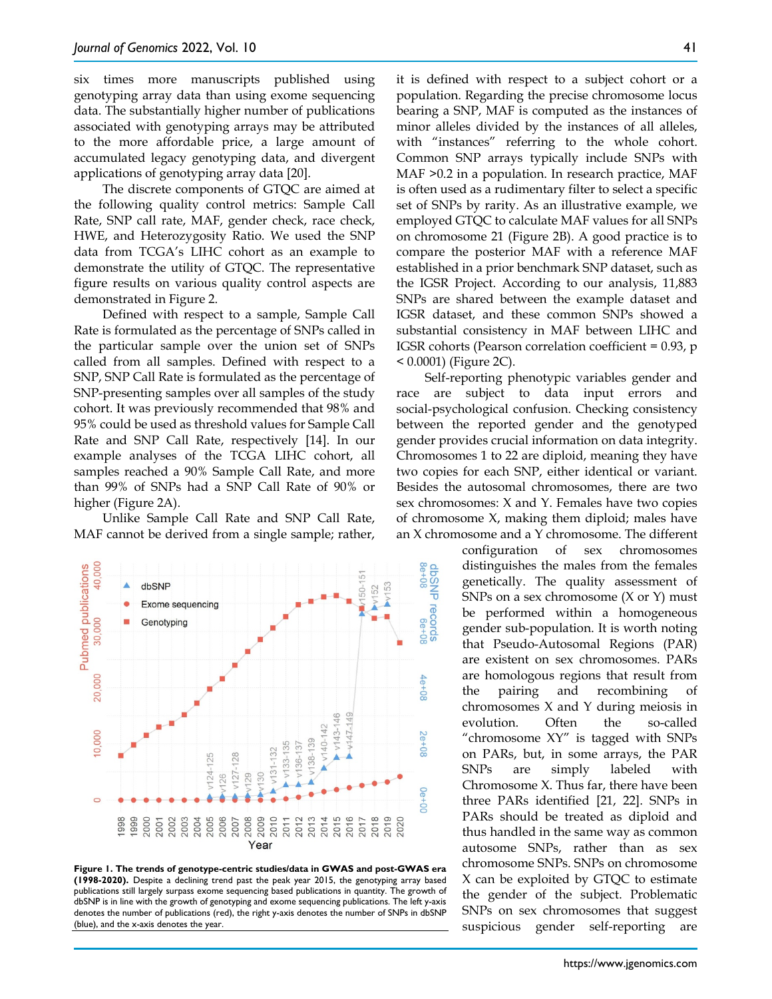six times more manuscripts published using genotyping array data than using exome sequencing data. The substantially higher number of publications associated with genotyping arrays may be attributed to the more affordable price, a large amount of accumulated legacy genotyping data, and divergent applications of genotyping array data [20].

The discrete components of GTQC are aimed at the following quality control metrics: Sample Call Rate, SNP call rate, MAF, gender check, race check, HWE, and Heterozygosity Ratio. We used the SNP data from TCGA's LIHC cohort as an example to demonstrate the utility of GTQC. The representative figure results on various quality control aspects are demonstrated in Figure 2.

Defined with respect to a sample, Sample Call Rate is formulated as the percentage of SNPs called in the particular sample over the union set of SNPs called from all samples. Defined with respect to a SNP, SNP Call Rate is formulated as the percentage of SNP-presenting samples over all samples of the study cohort. It was previously recommended that 98% and 95% could be used as threshold values for Sample Call Rate and SNP Call Rate, respectively [14]. In our example analyses of the TCGA LIHC cohort, all samples reached a 90% Sample Call Rate, and more than 99% of SNPs had a SNP Call Rate of 90% or higher (Figure 2A).

Unlike Sample Call Rate and SNP Call Rate, MAF cannot be derived from a single sample; rather,



**Figure 1. The trends of genotype-centric studies/data in GWAS and post-GWAS era (1998-2020).** Despite a declining trend past the peak year 2015, the genotyping array based publications still largely surpass exome sequencing based publications in quantity. The growth of dbSNP is in line with the growth of genotyping and exome sequencing publications. The left y-axis denotes the number of publications (red), the right y-axis denotes the number of SNPs in dbSNP (blue), and the x-axis denotes the year.

it is defined with respect to a subject cohort or a population. Regarding the precise chromosome locus bearing a SNP, MAF is computed as the instances of minor alleles divided by the instances of all alleles, with "instances" referring to the whole cohort. Common SNP arrays typically include SNPs with MAF >0.2 in a population. In research practice, MAF is often used as a rudimentary filter to select a specific set of SNPs by rarity. As an illustrative example, we employed GTQC to calculate MAF values for all SNPs on chromosome 21 (Figure 2B). A good practice is to compare the posterior MAF with a reference MAF established in a prior benchmark SNP dataset, such as the IGSR Project. According to our analysis, 11,883 SNPs are shared between the example dataset and IGSR dataset, and these common SNPs showed a substantial consistency in MAF between LIHC and IGSR cohorts (Pearson correlation coefficient = 0.93, p < 0.0001) (Figure 2C).

Self-reporting phenotypic variables gender and race are subject to data input errors and social-psychological confusion. Checking consistency between the reported gender and the genotyped gender provides crucial information on data integrity. Chromosomes 1 to 22 are diploid, meaning they have two copies for each SNP, either identical or variant. Besides the autosomal chromosomes, there are two sex chromosomes: X and Y. Females have two copies of chromosome X, making them diploid; males have an X chromosome and a Y chromosome. The different

> configuration of sex chromosomes distinguishes the males from the females genetically. The quality assessment of SNPs on a sex chromosome (X or Y) must be performed within a homogeneous gender sub-population. It is worth noting that Pseudo-Autosomal Regions (PAR) are existent on sex chromosomes. PARs are homologous regions that result from the pairing and recombining of chromosomes X and Y during meiosis in evolution. Often the so-called "chromosome XY" is tagged with SNPs on PARs, but, in some arrays, the PAR SNPs are simply labeled with Chromosome X. Thus far, there have been three PARs identified [21, 22]. SNPs in PARs should be treated as diploid and thus handled in the same way as common autosome SNPs, rather than as sex chromosome SNPs. SNPs on chromosome X can be exploited by GTQC to estimate the gender of the subject. Problematic SNPs on sex chromosomes that suggest suspicious gender self-reporting are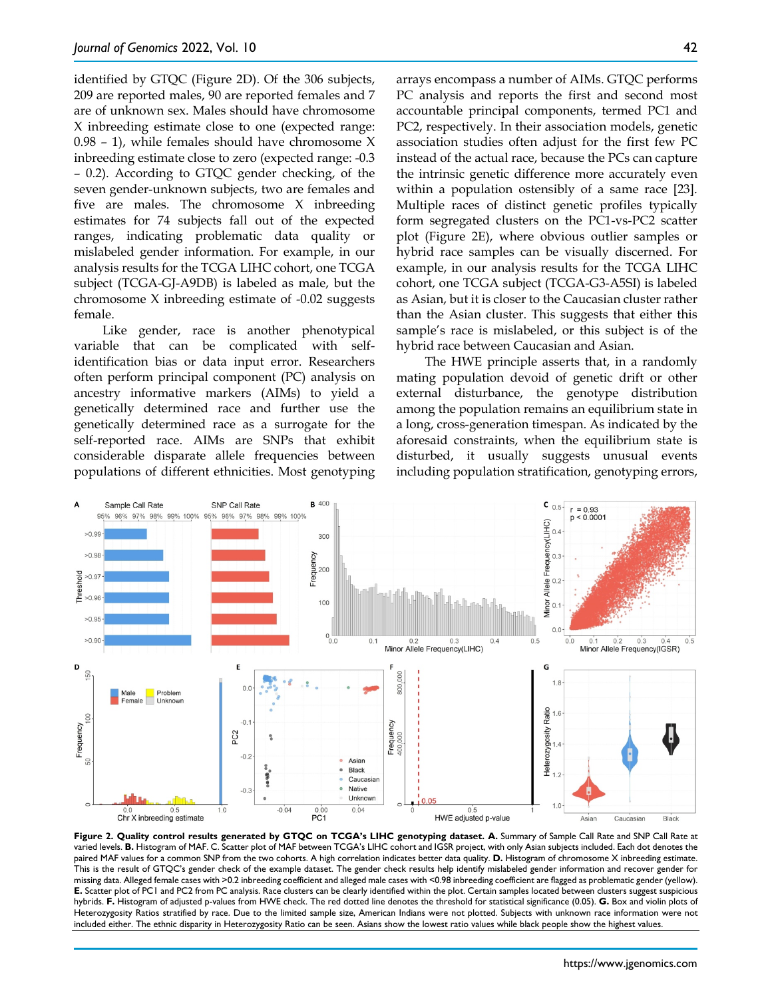identified by GTOC (Figure 2D). Of the 306 subjects, 209 are reported males, 90 are reported females and 7 are of unknown sex. Males should have chromosome X inbreeding estimate close to one (expected range: 0.98 – 1), while females should have chromosome X inbreeding estimate close to zero (expected range: -0.3 – 0.2). According to GTQC gender checking, of the seven gender-unknown subjects, two are females and five are males. The chromosome X inbreeding estimates for 74 subjects fall out of the expected ranges, indicating problematic data quality or mislabeled gender information. For example, in our analysis results for the TCGA LIHC cohort, one TCGA subject (TCGA-GJ-A9DB) is labeled as male, but the chromosome X inbreeding estimate of -0.02 suggests female.

Like gender, race is another phenotypical variable that can be complicated with selfidentification bias or data input error. Researchers often perform principal component (PC) analysis on ancestry informative markers (AIMs) to yield a genetically determined race and further use the genetically determined race as a surrogate for the self-reported race. AIMs are SNPs that exhibit considerable disparate allele frequencies between populations of different ethnicities. Most genotyping arrays encompass a number of AIMs. GTQC performs PC analysis and reports the first and second most accountable principal components, termed PC1 and PC2, respectively. In their association models, genetic association studies often adjust for the first few PC instead of the actual race, because the PCs can capture the intrinsic genetic difference more accurately even within a population ostensibly of a same race [23]. Multiple races of distinct genetic profiles typically form segregated clusters on the PC1-vs-PC2 scatter plot (Figure 2E), where obvious outlier samples or hybrid race samples can be visually discerned. For example, in our analysis results for the TCGA LIHC cohort, one TCGA subject (TCGA-G3-A5SI) is labeled as Asian, but it is closer to the Caucasian cluster rather than the Asian cluster. This suggests that either this sample's race is mislabeled, or this subject is of the hybrid race between Caucasian and Asian.

The HWE principle asserts that, in a randomly mating population devoid of genetic drift or other external disturbance, the genotype distribution among the population remains an equilibrium state in a long, cross-generation timespan. As indicated by the aforesaid constraints, when the equilibrium state is disturbed, it usually suggests unusual events including population stratification, genotyping errors,



**Figure 2. Quality control results generated by GTQC on TCGA's LIHC genotyping dataset. A.** Summary of Sample Call Rate and SNP Call Rate at varied levels. **B.** Histogram of MAF. C. Scatter plot of MAF between TCGA's LIHC cohort and IGSR project, with only Asian subjects included. Each dot denotes the paired MAF values for a common SNP from the two cohorts. A high correlation indicates better data quality. **D.** Histogram of chromosome X inbreeding estimate. This is the result of GTQC's gender check of the example dataset. The gender check results help identify mislabeled gender information and recover gender for missing data. Alleged female cases with >0.2 inbreeding coefficient and alleged male cases with <0.98 inbreeding coefficient are flagged as problematic gender (yellow). **E.** Scatter plot of PC1 and PC2 from PC analysis. Race clusters can be clearly identified within the plot. Certain samples located between clusters suggest suspicious hybrids. **F.** Histogram of adjusted p-values from HWE check. The red dotted line denotes the threshold for statistical significance (0.05). **G.** Box and violin plots of Heterozygosity Ratios stratified by race. Due to the limited sample size, American Indians were not plotted. Subjects with unknown race information were not included either. The ethnic disparity in Heterozygosity Ratio can be seen. Asians show the lowest ratio values while black people show the highest values.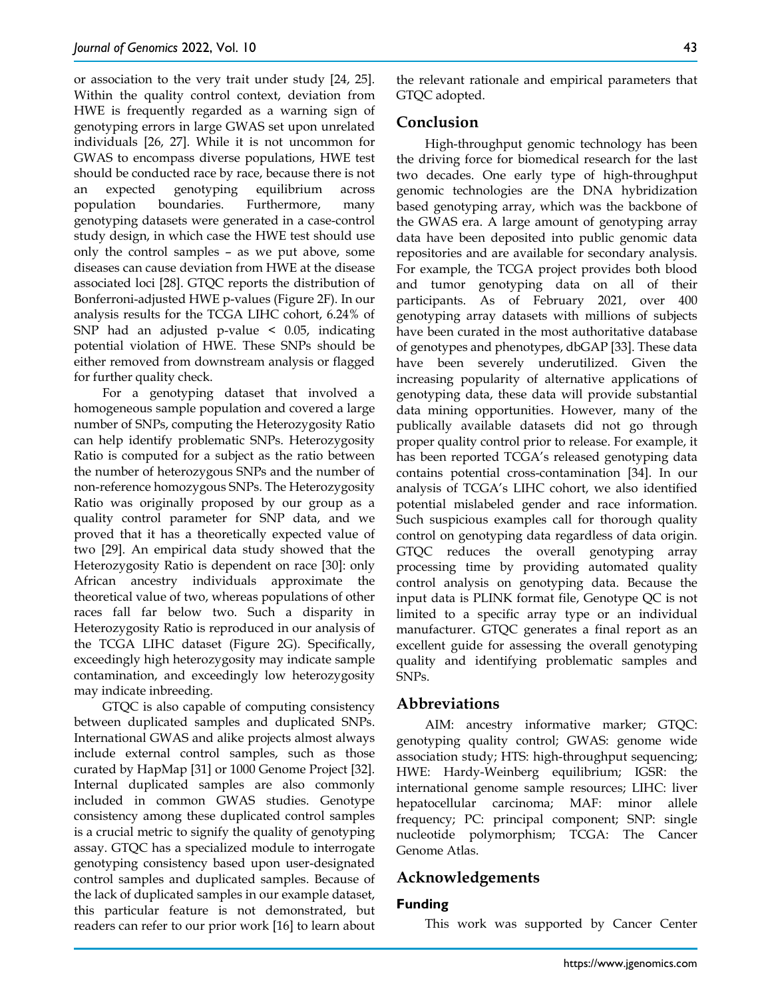or association to the very trait under study [24, 25]. Within the quality control context, deviation from HWE is frequently regarded as a warning sign of genotyping errors in large GWAS set upon unrelated individuals [26, 27]. While it is not uncommon for GWAS to encompass diverse populations, HWE test should be conducted race by race, because there is not an expected genotyping equilibrium across population boundaries. Furthermore, many genotyping datasets were generated in a case-control study design, in which case the HWE test should use only the control samples – as we put above, some diseases can cause deviation from HWE at the disease associated loci [28]. GTQC reports the distribution of Bonferroni-adjusted HWE p-values (Figure 2F). In our analysis results for the TCGA LIHC cohort, 6.24% of SNP had an adjusted p-value < 0.05, indicating potential violation of HWE. These SNPs should be either removed from downstream analysis or flagged for further quality check.

For a genotyping dataset that involved a homogeneous sample population and covered a large number of SNPs, computing the Heterozygosity Ratio can help identify problematic SNPs. Heterozygosity Ratio is computed for a subject as the ratio between the number of heterozygous SNPs and the number of non-reference homozygous SNPs. The Heterozygosity Ratio was originally proposed by our group as a quality control parameter for SNP data, and we proved that it has a theoretically expected value of two [29]. An empirical data study showed that the Heterozygosity Ratio is dependent on race [30]: only African ancestry individuals approximate the theoretical value of two, whereas populations of other races fall far below two. Such a disparity in Heterozygosity Ratio is reproduced in our analysis of the TCGA LIHC dataset (Figure 2G). Specifically, exceedingly high heterozygosity may indicate sample contamination, and exceedingly low heterozygosity may indicate inbreeding.

GTQC is also capable of computing consistency between duplicated samples and duplicated SNPs. International GWAS and alike projects almost always include external control samples, such as those curated by HapMap [31] or 1000 Genome Project [32]. Internal duplicated samples are also commonly included in common GWAS studies. Genotype consistency among these duplicated control samples is a crucial metric to signify the quality of genotyping assay. GTQC has a specialized module to interrogate genotyping consistency based upon user-designated control samples and duplicated samples. Because of the lack of duplicated samples in our example dataset, this particular feature is not demonstrated, but readers can refer to our prior work [16] to learn about the relevant rationale and empirical parameters that GTQC adopted.

# **Conclusion**

High-throughput genomic technology has been the driving force for biomedical research for the last two decades. One early type of high-throughput genomic technologies are the DNA hybridization based genotyping array, which was the backbone of the GWAS era. A large amount of genotyping array data have been deposited into public genomic data repositories and are available for secondary analysis. For example, the TCGA project provides both blood and tumor genotyping data on all of their participants. As of February 2021, over 400 genotyping array datasets with millions of subjects have been curated in the most authoritative database of genotypes and phenotypes, dbGAP [33]. These data have been severely underutilized. Given the increasing popularity of alternative applications of genotyping data, these data will provide substantial data mining opportunities. However, many of the publically available datasets did not go through proper quality control prior to release. For example, it has been reported TCGA's released genotyping data contains potential cross-contamination [34]. In our analysis of TCGA's LIHC cohort, we also identified potential mislabeled gender and race information. Such suspicious examples call for thorough quality control on genotyping data regardless of data origin. GTQC reduces the overall genotyping array processing time by providing automated quality control analysis on genotyping data. Because the input data is PLINK format file, Genotype QC is not limited to a specific array type or an individual manufacturer. GTQC generates a final report as an excellent guide for assessing the overall genotyping quality and identifying problematic samples and SNPs.

## **Abbreviations**

AIM: ancestry informative marker; GTQC: genotyping quality control; GWAS: genome wide association study; HTS: high-throughput sequencing; HWE: Hardy-Weinberg equilibrium; IGSR: the international genome sample resources; LIHC: liver hepatocellular carcinoma; MAF: minor allele frequency; PC: principal component; SNP: single nucleotide polymorphism; TCGA: The Cancer Genome Atlas.

# **Acknowledgements**

#### **Funding**

This work was supported by Cancer Center